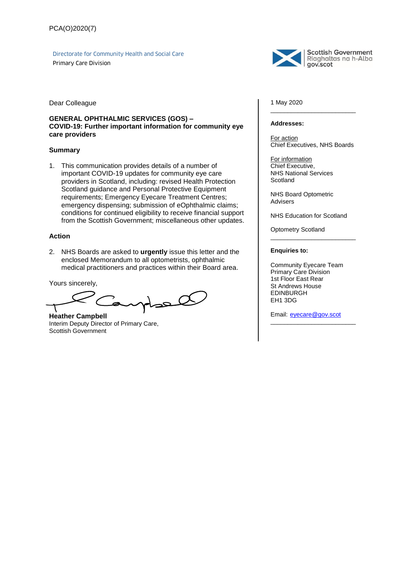Directorate for Community Health and Social Care

Primary Care Division



**Scottish Government** Riaghaltas na h-Alba gov.scot

Dear Colleague

#### **GENERAL OPHTHALMIC SERVICES (GOS) – COVID-19: Further important information for community eye care providers**

#### **Summary**

1. This communication provides details of a number of important COVID-19 updates for community eye care providers in Scotland, including: revised Health Protection Scotland guidance and Personal Protective Equipment requirements; Emergency Eyecare Treatment Centres; emergency dispensing; submission of eOphthalmic claims; conditions for continued eligibility to receive financial support from the Scottish Government; miscellaneous other updates.

#### **Action**

2. NHS Boards are asked to **urgently** issue this letter and the enclosed Memorandum to all optometrists, ophthalmic medical practitioners and practices within their Board area.

Yours sincerely,

 $\alpha$ حد

**Heather Campbell** Interim Deputy Director of Primary Care, Scottish Government

1 May 2020

#### **Addresses:**

For action Chief Executives, NHS Boards

\_\_\_\_\_\_\_\_\_\_\_\_\_\_\_\_\_\_\_\_\_\_\_\_\_

For information Chief Executive, NHS National Services **Scotland** 

NHS Board Optometric Advisers

NHS Education for Scotland

\_\_\_\_\_\_\_\_\_\_\_\_\_\_\_\_\_\_\_\_\_\_\_\_\_

Optometry Scotland

#### **Enquiries to:**

Community Eyecare Team Primary Care Division 1st Floor East Rear St Andrews House EDINBURGH EH1 3DG

Email: [eyecare@gov.scot](mailto:eyecare@gov.scot?subject=Query%20regarding%20PCA(O)2020(7))

\_\_\_\_\_\_\_\_\_\_\_\_\_\_\_\_\_\_\_\_\_\_\_\_\_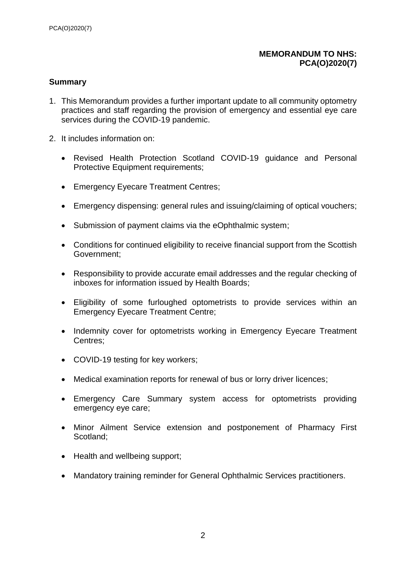# **MEMORANDUM TO NHS: PCA(O)2020(7)**

# **Summary**

- 1. This Memorandum provides a further important update to all community optometry practices and staff regarding the provision of emergency and essential eye care services during the COVID-19 pandemic.
- 2. It includes information on:
	- Revised Health Protection Scotland COVID-19 guidance and Personal Protective Equipment requirements;
	- Emergency Eyecare Treatment Centres;
	- Emergency dispensing: general rules and issuing/claiming of optical vouchers;
	- Submission of payment claims via the eOphthalmic system;
	- Conditions for continued eligibility to receive financial support from the Scottish Government;
	- Responsibility to provide accurate email addresses and the regular checking of inboxes for information issued by Health Boards;
	- Eligibility of some furloughed optometrists to provide services within an Emergency Eyecare Treatment Centre;
	- Indemnity cover for optometrists working in Emergency Eyecare Treatment Centres;
	- COVID-19 testing for key workers;
	- Medical examination reports for renewal of bus or lorry driver licences;
	- Emergency Care Summary system access for optometrists providing emergency eye care;
	- Minor Ailment Service extension and postponement of Pharmacy First Scotland;
	- Health and wellbeing support;
	- Mandatory training reminder for General Ophthalmic Services practitioners.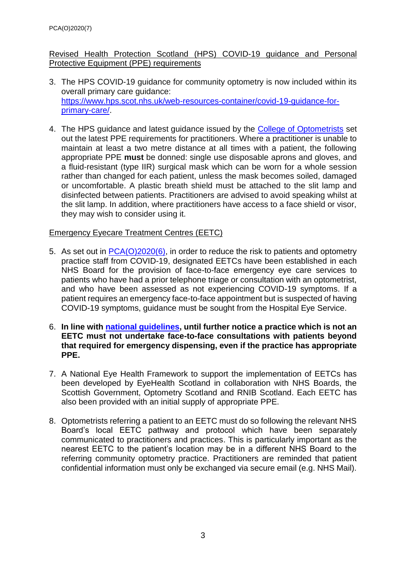# Revised Health Protection Scotland (HPS) COVID-19 guidance and Personal Protective Equipment (PPE) requirements

- 3. The HPS COVID-19 guidance for community optometry is now included within its overall primary care guidance: [https://www.hps.scot.nhs.uk/web-resources-container/covid-19-guidance-for](https://www.hps.scot.nhs.uk/web-resources-container/covid-19-guidance-for-primary-care/)[primary-care/.](https://www.hps.scot.nhs.uk/web-resources-container/covid-19-guidance-for-primary-care/)
- 4. The HPS guidance and latest guidance issued by the [College of Optometrists](https://www.college-optometrists.org/the-college/media-hub/news-listing/coronavirus-2019-advice-for-optometrists.html) set out the latest PPE requirements for practitioners. Where a practitioner is unable to maintain at least a two metre distance at all times with a patient, the following appropriate PPE **must** be donned: single use disposable aprons and gloves, and a fluid-resistant (type IIR) surgical mask which can be worn for a whole session rather than changed for each patient, unless the mask becomes soiled, damaged or uncomfortable. A plastic breath shield must be attached to the slit lamp and disinfected between patients. Practitioners are advised to avoid speaking whilst at the slit lamp. In addition, where practitioners have access to a face shield or visor, they may wish to consider using it.

# Emergency Eyecare Treatment Centres (EETC)

- 5. As set out in [PCA\(O\)2020\(6\),](http://www.sehd.scot.nhs.uk/pca/PCA(O)(2020)06.pdf) in order to reduce the risk to patients and optometry practice staff from COVID-19, designated EETCs have been established in each NHS Board for the provision of face-to-face emergency eye care services to patients who have had a prior telephone triage or consultation with an optometrist, and who have been assessed as not experiencing COVID-19 symptoms. If a patient requires an emergency face-to-face appointment but is suspected of having COVID-19 symptoms, guidance must be sought from the Hospital Eye Service.
- 6. **In line with [national guidelines,](https://www.gov.scot/coronavirus-covid-19/) until further notice a practice which is not an EETC must not undertake face-to-face consultations with patients beyond that required for emergency dispensing, even if the practice has appropriate PPE.**
- 7. A National Eye Health Framework to support the implementation of EETCs has been developed by EyeHealth Scotland in collaboration with NHS Boards, the Scottish Government, Optometry Scotland and RNIB Scotland. Each EETC has also been provided with an initial supply of appropriate PPE.
- 8. Optometrists referring a patient to an EETC must do so following the relevant NHS Board's local EETC pathway and protocol which have been separately communicated to practitioners and practices. This is particularly important as the nearest EETC to the patient's location may be in a different NHS Board to the referring community optometry practice. Practitioners are reminded that patient confidential information must only be exchanged via secure email (e.g. NHS Mail).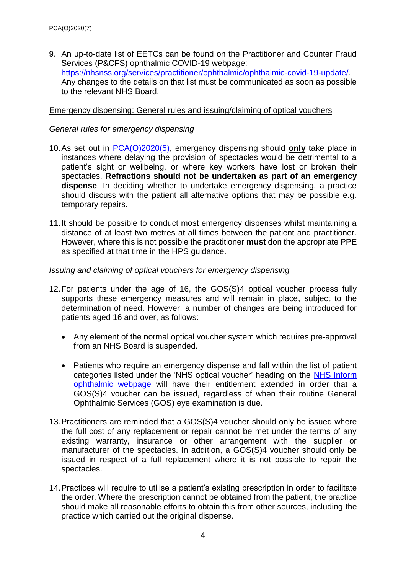9. An up-to-date list of EETCs can be found on the Practitioner and Counter Fraud Services (P&CFS) ophthalmic COVID-19 webpage: [https://nhsnss.org/services/practitioner/ophthalmic/ophthalmic-covid-19-update/.](https://nhsnss.org/services/practitioner/ophthalmic/ophthalmic-covid-19-update/) Any changes to the details on that list must be communicated as soon as possible to the relevant NHS Board.

### Emergency dispensing: General rules and issuing/claiming of optical vouchers

## *General rules for emergency dispensing*

- 10.As set out in [PCA\(O\)2020\(5\),](http://www.sehd.scot.nhs.uk/pca/PCA2020(O)05.pdf) emergency dispensing should **only** take place in instances where delaying the provision of spectacles would be detrimental to a patient's sight or wellbeing, or where key workers have lost or broken their spectacles. **Refractions should not be undertaken as part of an emergency dispense**. In deciding whether to undertake emergency dispensing, a practice should discuss with the patient all alternative options that may be possible e.g. temporary repairs.
- 11.It should be possible to conduct most emergency dispenses whilst maintaining a distance of at least two metres at all times between the patient and practitioner. However, where this is not possible the practitioner **must** don the appropriate PPE as specified at that time in the HPS guidance.

### *Issuing and claiming of optical vouchers for emergency dispensing*

- 12.For patients under the age of 16, the GOS(S)4 optical voucher process fully supports these emergency measures and will remain in place, subject to the determination of need. However, a number of changes are being introduced for patients aged 16 and over, as follows:
	- Any element of the normal optical voucher system which requires pre-approval from an NHS Board is suspended.
	- Patients who require an emergency dispense and fall within the list of patient categories listed under the 'NHS optical voucher' heading on the [NHS Inform](https://www.nhsinform.scot/care-support-and-rights/nhs-services/ophthalmics/your-entitlements-to-nhs-ophthalmic-services#nhs-optical-voucher)  [ophthalmic webpage](https://www.nhsinform.scot/care-support-and-rights/nhs-services/ophthalmics/your-entitlements-to-nhs-ophthalmic-services#nhs-optical-voucher) will have their entitlement extended in order that a GOS(S)4 voucher can be issued, regardless of when their routine General Ophthalmic Services (GOS) eye examination is due.
- 13.Practitioners are reminded that a GOS(S)4 voucher should only be issued where the full cost of any replacement or repair cannot be met under the terms of any existing warranty, insurance or other arrangement with the supplier or manufacturer of the spectacles. In addition, a GOS(S)4 voucher should only be issued in respect of a full replacement where it is not possible to repair the spectacles.
- 14.Practices will require to utilise a patient's existing prescription in order to facilitate the order. Where the prescription cannot be obtained from the patient, the practice should make all reasonable efforts to obtain this from other sources, including the practice which carried out the original dispense.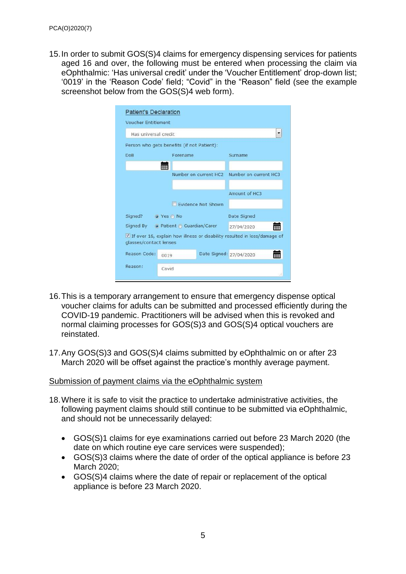15.In order to submit GOS(S)4 claims for emergency dispensing services for patients aged 16 and over, the following must be entered when processing the claim via eOphthalmic: 'Has universal credit' under the 'Voucher Entitlement' drop-down list; '0019' in the 'Reason Code' field; "Covid" in the "Reason" field (see the example screenshot below from the GOS(S)4 web form).

| <b>Patient's Declaration</b>         |                                            |                       |                                                                            |
|--------------------------------------|--------------------------------------------|-----------------------|----------------------------------------------------------------------------|
| <b>Voucher Entitlement</b>           |                                            |                       |                                                                            |
| Has universal credit                 |                                            |                       | ۰                                                                          |
|                                      | Person who gets benefits (if not Patient): |                       |                                                                            |
| <b>DoB</b>                           | Forename                                   |                       | Surname                                                                    |
|                                      | ₩                                          |                       |                                                                            |
|                                      |                                            | Number on current HC2 | Number on current HC3                                                      |
|                                      |                                            |                       |                                                                            |
|                                      |                                            |                       | Amount of HC3                                                              |
|                                      |                                            | Evidence Not Shown    |                                                                            |
| Signed?<br>O Yes No                  |                                            |                       | Date Signed                                                                |
| Signed By ⊙ Patient ⊙ Guardian/Carer |                                            |                       | 27/04/2020                                                                 |
| glasses/contact lenses               |                                            |                       | V If over 16, explain how illness or disability resulted in loss/damage of |
| Reason Code:                         | 0019                                       |                       | Date Signed: 27/04/2020                                                    |
| Reason:                              | Covid                                      |                       | 98                                                                         |

- 16.This is a temporary arrangement to ensure that emergency dispense optical voucher claims for adults can be submitted and processed efficiently during the COVID-19 pandemic. Practitioners will be advised when this is revoked and normal claiming processes for GOS(S)3 and GOS(S)4 optical vouchers are reinstated.
- 17.Any GOS(S)3 and GOS(S)4 claims submitted by eOphthalmic on or after 23 March 2020 will be offset against the practice's monthly average payment.

#### Submission of payment claims via the eOphthalmic system

- 18.Where it is safe to visit the practice to undertake administrative activities, the following payment claims should still continue to be submitted via eOphthalmic, and should not be unnecessarily delayed:
	- GOS(S)1 claims for eye examinations carried out before 23 March 2020 (the date on which routine eye care services were suspended);
	- GOS(S)3 claims where the date of order of the optical appliance is before 23 March 2020;
	- GOS(S)4 claims where the date of repair or replacement of the optical appliance is before 23 March 2020.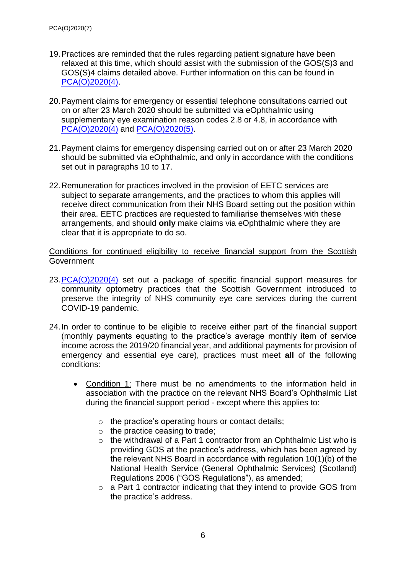- 19.Practices are reminded that the rules regarding patient signature have been relaxed at this time, which should assist with the submission of the GOS(S)3 and GOS(S)4 claims detailed above. Further information on this can be found in [PCA\(O\)2020\(4\).](http://www.sehd.scot.nhs.uk/pca/PCA2020(O)04.pdf)
- 20.Payment claims for emergency or essential telephone consultations carried out on or after 23 March 2020 should be submitted via eOphthalmic using supplementary eye examination reason codes 2.8 or 4.8, in accordance with [PCA\(O\)2020\(4\)](http://www.sehd.scot.nhs.uk/pca/PCA2020(O)04.pdf) and [PCA\(O\)2020\(5\).](http://www.sehd.scot.nhs.uk/pca/PCA2020(O)05.pdf)
- 21.Payment claims for emergency dispensing carried out on or after 23 March 2020 should be submitted via eOphthalmic, and only in accordance with the conditions set out in paragraphs 10 to 17.
- 22.Remuneration for practices involved in the provision of EETC services are subject to separate arrangements, and the practices to whom this applies will receive direct communication from their NHS Board setting out the position within their area. EETC practices are requested to familiarise themselves with these arrangements, and should **only** make claims via eOphthalmic where they are clear that it is appropriate to do so.

Conditions for continued eligibility to receive financial support from the Scottish **Government** 

- 23[.PCA\(O\)2020\(4\)](http://www.sehd.scot.nhs.uk/pca/PCA2020(O)04.pdf) set out a package of specific financial support measures for community optometry practices that the Scottish Government introduced to preserve the integrity of NHS community eye care services during the current COVID-19 pandemic.
- 24.In order to continue to be eligible to receive either part of the financial support (monthly payments equating to the practice's average monthly item of service income across the 2019/20 financial year, and additional payments for provision of emergency and essential eye care), practices must meet **all** of the following conditions:
	- Condition 1: There must be no amendments to the information held in association with the practice on the relevant NHS Board's Ophthalmic List during the financial support period - except where this applies to:
		- o the practice's operating hours or contact details;
		- o the practice ceasing to trade;
		- o the withdrawal of a Part 1 contractor from an Ophthalmic List who is providing GOS at the practice's address, which has been agreed by the relevant NHS Board in accordance with regulation 10(1)(b) of the National Health Service (General Ophthalmic Services) (Scotland) Regulations 2006 ("GOS Regulations"), as amended;
		- o a Part 1 contractor indicating that they intend to provide GOS from the practice's address.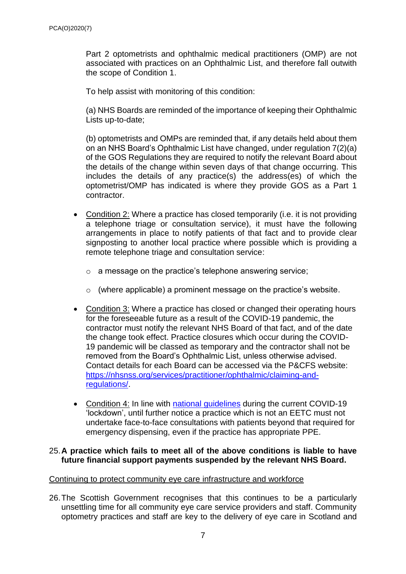Part 2 optometrists and ophthalmic medical practitioners (OMP) are not associated with practices on an Ophthalmic List, and therefore fall outwith the scope of Condition 1.

To help assist with monitoring of this condition:

(a) NHS Boards are reminded of the importance of keeping their Ophthalmic Lists up-to-date;

(b) optometrists and OMPs are reminded that, if any details held about them on an NHS Board's Ophthalmic List have changed, under regulation 7(2)(a) of the GOS Regulations they are required to notify the relevant Board about the details of the change within seven days of that change occurring. This includes the details of any practice(s) the address(es) of which the optometrist/OMP has indicated is where they provide GOS as a Part 1 contractor.

- Condition 2: Where a practice has closed temporarily (i.e. it is not providing a telephone triage or consultation service), it must have the following arrangements in place to notify patients of that fact and to provide clear signposting to another local practice where possible which is providing a remote telephone triage and consultation service:
	- o a message on the practice's telephone answering service;
	- o (where applicable) a prominent message on the practice's website.
- Condition 3: Where a practice has closed or changed their operating hours for the foreseeable future as a result of the COVID-19 pandemic, the contractor must notify the relevant NHS Board of that fact, and of the date the change took effect. Practice closures which occur during the COVID-19 pandemic will be classed as temporary and the contractor shall not be removed from the Board's Ophthalmic List, unless otherwise advised. Contact details for each Board can be accessed via the P&CFS website: [https://nhsnss.org/services/practitioner/ophthalmic/claiming-and](https://nhsnss.org/services/practitioner/ophthalmic/claiming-and-regulations/)[regulations/.](https://nhsnss.org/services/practitioner/ophthalmic/claiming-and-regulations/)
- Condition 4: In line with [national guidelines](https://www.gov.scot/coronavirus-covid-19/) during the current COVID-19 'lockdown', until further notice a practice which is not an EETC must not undertake face-to-face consultations with patients beyond that required for emergency dispensing, even if the practice has appropriate PPE.

### 25.**A practice which fails to meet all of the above conditions is liable to have future financial support payments suspended by the relevant NHS Board.**

### Continuing to protect community eye care infrastructure and workforce

26.The Scottish Government recognises that this continues to be a particularly unsettling time for all community eye care service providers and staff. Community optometry practices and staff are key to the delivery of eye care in Scotland and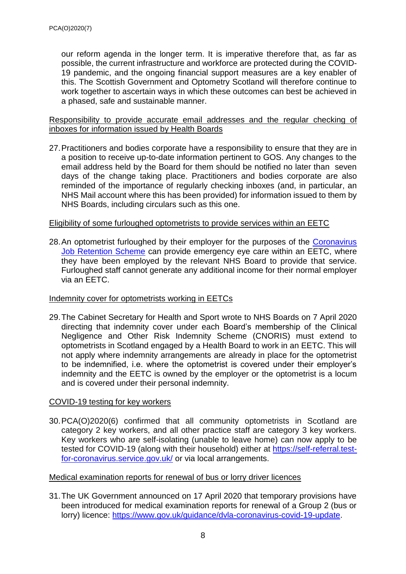our reform agenda in the longer term. It is imperative therefore that, as far as possible, the current infrastructure and workforce are protected during the COVID-19 pandemic, and the ongoing financial support measures are a key enabler of this. The Scottish Government and Optometry Scotland will therefore continue to work together to ascertain ways in which these outcomes can best be achieved in a phased, safe and sustainable manner.

Responsibility to provide accurate email addresses and the regular checking of inboxes for information issued by Health Boards

27.Practitioners and bodies corporate have a responsibility to ensure that they are in a position to receive up-to-date information pertinent to GOS. Any changes to the email address held by the Board for them should be notified no later than seven days of the change taking place. Practitioners and bodies corporate are also reminded of the importance of regularly checking inboxes (and, in particular, an NHS Mail account where this has been provided) for information issued to them by NHS Boards, including circulars such as this one.

# Eligibility of some furloughed optometrists to provide services within an EETC

28. An optometrist furloughed by their employer for the purposes of the Coronavirus [Job Retention Scheme](https://www.gov.uk/guidance/claim-for-wage-costs-through-the-coronavirus-job-retention-scheme) can provide emergency eye care within an EETC, where they have been employed by the relevant NHS Board to provide that service. Furloughed staff cannot generate any additional income for their normal employer via an EETC.

# Indemnity cover for optometrists working in EETCs

29.The Cabinet Secretary for Health and Sport wrote to NHS Boards on 7 April 2020 directing that indemnity cover under each Board's membership of the Clinical Negligence and Other Risk Indemnity Scheme (CNORIS) must extend to optometrists in Scotland engaged by a Health Board to work in an EETC. This will not apply where indemnity arrangements are already in place for the optometrist to be indemnified, i.e. where the optometrist is covered under their employer's indemnity and the EETC is owned by the employer or the optometrist is a locum and is covered under their personal indemnity.

# COVID-19 testing for key workers

30.PCA(O)2020(6) confirmed that all community optometrists in Scotland are category 2 key workers, and all other practice staff are category 3 key workers. Key workers who are self-isolating (unable to leave home) can now apply to be tested for COVID-19 (along with their household) either at [https://self-referral.test](https://self-referral.test-for-coronavirus.service.gov.uk/)[for-coronavirus.service.gov.uk/](https://self-referral.test-for-coronavirus.service.gov.uk/) or via local arrangements.

# Medical examination reports for renewal of bus or lorry driver licences

31.The UK Government announced on 17 April 2020 that temporary provisions have been introduced for medical examination reports for renewal of a Group 2 (bus or lorry) licence: [https://www.gov.uk/guidance/dvla-coronavirus-covid-19-update.](https://www.gov.uk/guidance/dvla-coronavirus-covid-19-update)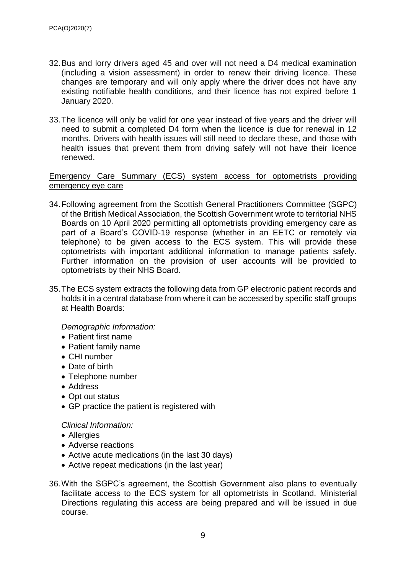- 32.Bus and lorry drivers aged 45 and over will not need a D4 medical examination (including a vision assessment) in order to renew their driving licence. These changes are temporary and will only apply where the driver does not have any existing notifiable health conditions, and their licence has not expired before 1 January 2020.
- 33.The licence will only be valid for one year instead of five years and the driver will need to submit a completed D4 form when the licence is due for renewal in 12 months. Drivers with health issues will still need to declare these, and those with health issues that prevent them from driving safely will not have their licence renewed.

## Emergency Care Summary (ECS) system access for optometrists providing emergency eye care

- 34.Following agreement from the Scottish General Practitioners Committee (SGPC) of the British Medical Association, the Scottish Government wrote to territorial NHS Boards on 10 April 2020 permitting all optometrists providing emergency care as part of a Board's COVID-19 response (whether in an EETC or remotely via telephone) to be given access to the ECS system. This will provide these optometrists with important additional information to manage patients safely. Further information on the provision of user accounts will be provided to optometrists by their NHS Board.
- 35.The ECS system extracts the following data from GP electronic patient records and holds it in a central database from where it can be accessed by specific staff groups at Health Boards:

*Demographic Information:*

- Patient first name
- Patient family name
- CHI number
- Date of birth
- Telephone number
- Address
- Opt out status
- GP practice the patient is registered with

#### *Clinical Information:*

- Allergies
- Adverse reactions
- Active acute medications (in the last 30 days)
- Active repeat medications (in the last year)
- 36.With the SGPC's agreement, the Scottish Government also plans to eventually facilitate access to the ECS system for all optometrists in Scotland. Ministerial Directions regulating this access are being prepared and will be issued in due course.